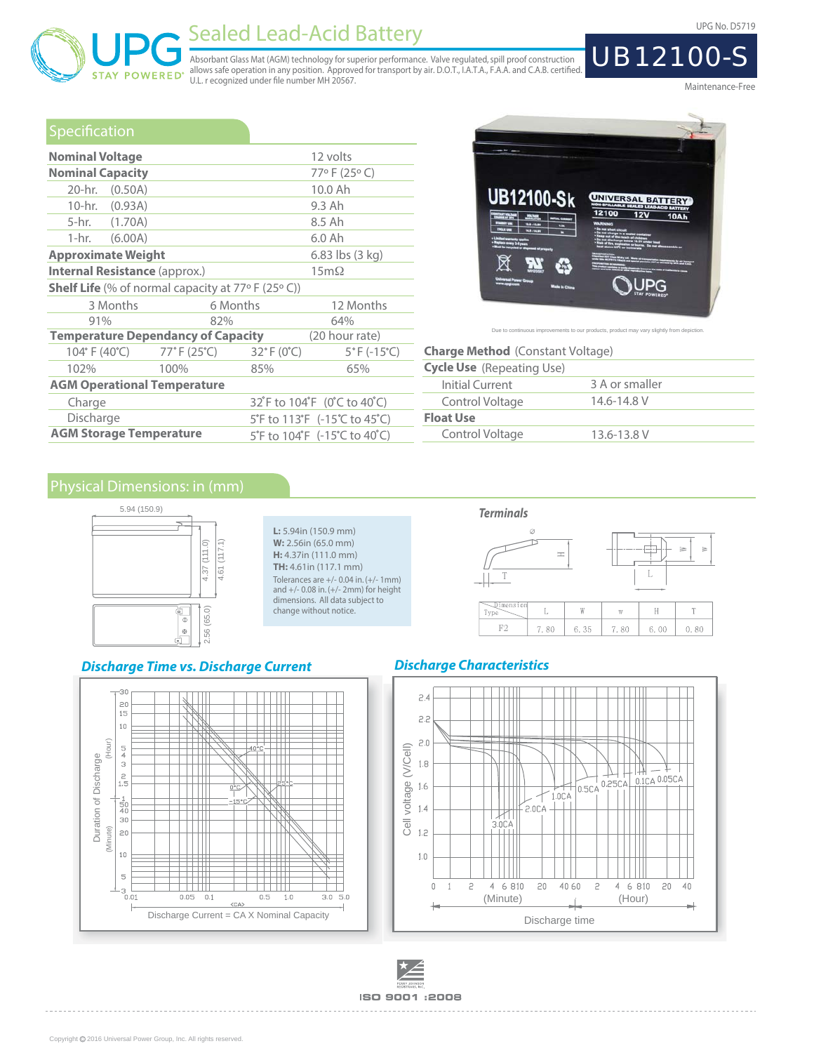

# Sealed Lead-Acid Battery Contract Contract Contract Contract Contract Contract Contract Contract Contract Contract Contract Contract Contract Contract Contract Contract Contract Contract Contract Contract Contract Contract

Absorbant Glass Mat (AGM) technology for superior performance. Valve regulated, spill proof construction<br>allows safe operation in any position. Approved for transport by air. D.O.T., I.A.T.A., F.A.A. and C.A.B. certified.<br>

Maintenance-Free

UB12100-S

### Specification

| <b>Nominal Voltage</b>                                      |                                                                                                    |          | 12 volts                         |  |  |  |
|-------------------------------------------------------------|----------------------------------------------------------------------------------------------------|----------|----------------------------------|--|--|--|
| <b>Nominal Capacity</b>                                     |                                                                                                    |          | 77°F (25°C)                      |  |  |  |
| 20-hr. (0.50A)                                              |                                                                                                    |          | 10.0 Ah                          |  |  |  |
| 10-hr. (0.93A)                                              |                                                                                                    |          | 9.3 Ah                           |  |  |  |
| 5-hr. (1.70A)                                               |                                                                                                    |          | 8.5 Ah                           |  |  |  |
| 1-hr. $(6.00A)$                                             |                                                                                                    |          | 6.0 Ah                           |  |  |  |
| <b>Approximate Weight</b>                                   |                                                                                                    |          | $6.83$ lbs $(3 \text{ kg})$      |  |  |  |
| <b>Internal Resistance (approx.)</b>                        |                                                                                                    |          | $15m\Omega$                      |  |  |  |
| <b>Shelf Life</b> (% of normal capacity at $77°$ F (25° C)) |                                                                                                    |          |                                  |  |  |  |
| 3 Months                                                    |                                                                                                    | 6 Months | 12 Months                        |  |  |  |
| 91%                                                         | 82%                                                                                                |          | 64%                              |  |  |  |
| <b>Temperature Dependancy of Capacity</b>                   |                                                                                                    |          | (20 hour rate)                   |  |  |  |
|                                                             | $104^{\circ}$ F (40 $^{\circ}$ C) $77^{\circ}$ F (25 $^{\circ}$ C) $32^{\circ}$ F (0 $^{\circ}$ C) |          | $5^{\circ}$ F (-15 $^{\circ}$ C) |  |  |  |
| 102%                                                        | 100%                                                                                               | 85%      | 65%                              |  |  |  |
| <b>AGM Operational Temperature</b>                          |                                                                                                    |          |                                  |  |  |  |
| Charge                                                      |                                                                                                    |          | 32°F to 104°F (0°C to 40°C)      |  |  |  |
| Discharge                                                   |                                                                                                    |          | 5°F to 113°F (-15°C to 45°C)     |  |  |  |
| <b>AGM Storage Temperature</b>                              |                                                                                                    |          | 5°F to 104°F (-15°C to 40°C)     |  |  |  |



Due to continuous improvements to our products, product may vary slightly from dep

| <b>Charge Method</b> (Constant Voltage) |                |  |  |  |  |  |
|-----------------------------------------|----------------|--|--|--|--|--|
| <b>Cycle Use</b> (Repeating Use)        |                |  |  |  |  |  |
| Initial Current                         | 3 A or smaller |  |  |  |  |  |
| Control Voltage                         | 14.6-14.8 V    |  |  |  |  |  |
| <b>Float Use</b>                        |                |  |  |  |  |  |
| Control Voltage                         | 13.6-13.8 V    |  |  |  |  |  |



**L:** 5.94in (150.9 mm) **W:** 2.56in (65.0 mm) **H:** 4.37in (111.0 mm) **TH:** 4.61in (117.1 mm) Tolerances are +/- 0.04 in. (+/- 1mm) and +/- 0.08 in. (+/- 2mm) for height dimensions. All data subject to change without notice.

#### **Discharge Time vs. Discharge Current**





### **Discharge Characteristics**